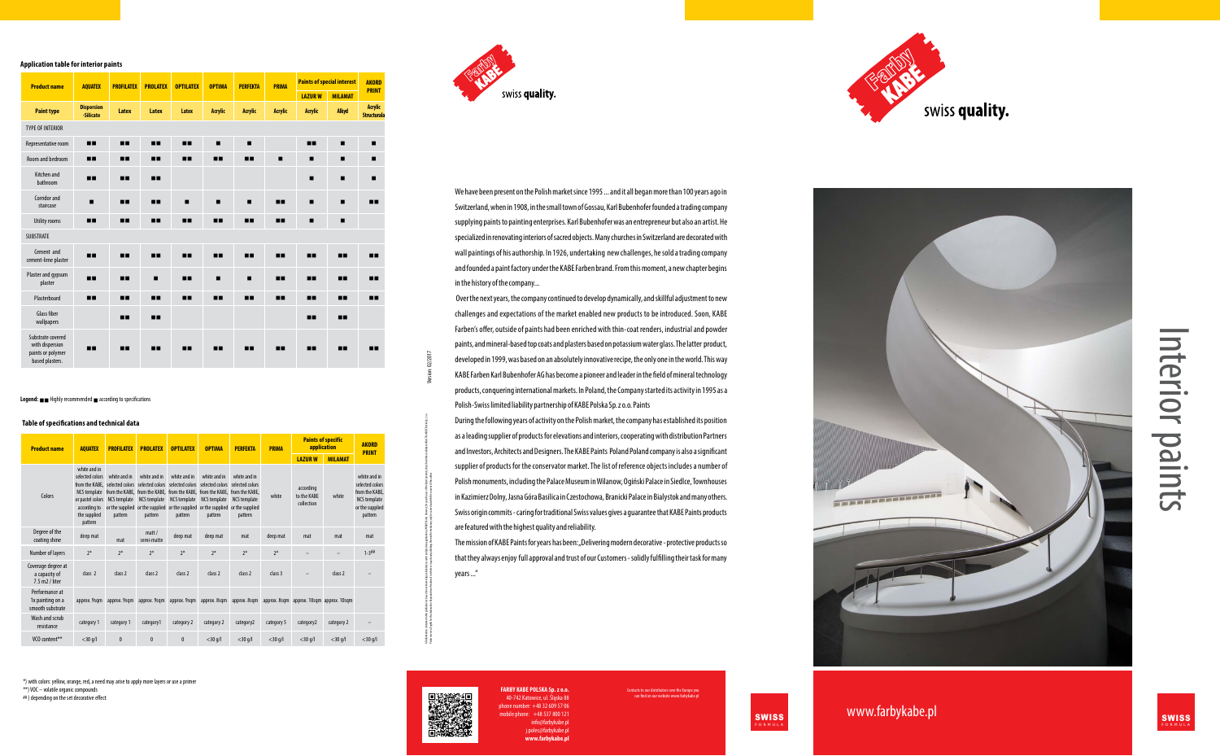# Interior paints

www.farbykabe.pl and swiss and swiss and swiss

We have been present on the Polish market since 1995 ... and it all began more than 100 years ago in Switzerland, when in 1908, in the small town of Gossau, Karl Bubenhofer founded a trading company supplying paints to painting enterprises. Karl Bubenhofer was an entrepreneur but also an artist. He specialized in renovating interiors of sacred objects. Many churches in Switzerland are decorated with wall paintings of his authorship. In 1926, undertaking new challenges, he sold a trading company and founded a paint factory under the KABE Farben brand. From this moment, a new chapter begins in the history of the company...

 Over the next years, the company continued to develop dynamically, and skillful adjustment to new challenges and expectations of the market enabled new products to be introduced. Soon, KABE Farben's offer, outside of paints had been enriched with thin-coat renders, industrial and powder paints, and mineral-based top coats and plasters based on potassium water glass. The latter product, developed in 1999, was based on an absolutely innovative recipe, the only one in the world. This way KABE Farben Karl Bubenhofer AG has become a pioneer and leader in the field of mineral technology products, conquering international markets. In Poland, the Company started its activity in 1995 as a Polish-Swiss limited liability partnership of KABE Polska Sp. z o.o. Paints

The mission of KABE Paints for years has been: "Delivering modern decorative - protective products so that they always enjoy full approval and trust of our Customers - solidly fulfilling their task for many years ..."



Ill information ontained in this publication is based on our knowledge, labilities and provided on the Market for specific as on the like of the proposition of the Market Market for 20.2 o.0.

Paints reserve all rights for this elaboration of materials in whole or in part and publishing them in the media may out which consent the matter  $\sim$  Version: 02/2017

During the following years of activity on the Polish market, the company has established its position as a leading supplier of products for elevations and interiors, cooperating with distribution Partners and Investors, Architects and Designers. The KABE Paints Poland Poland company is also a significant supplier of products for the conservator market. The list of reference objects includes a number of Polish monuments, including the Palace Museum in Wilanow, Ogiński Palace in Siedlce, Townhouses in Kazimierz Dolny, Jasna Góra Basilica in Czestochowa, Branicki Palace in Bialystok and many others. Swiss origin commits - caring for traditional Swiss values gives a guarantee that KABE Paints products are featured with the highest quality and reliability.

> ts to our distributors over the Europe you can find on our website www.farbykabe.pl

\*) with colors: yellow, orange, red, a need may arise to apply more layers or use a primer \*\*) VOC – volatile organic compounds ##) depending on the set decorative effect



| <b>Product name</b>                                    | <b>AQUATEX</b>                                                                                 | <b>PROFILATEX</b>                                                                                | <b>PROLATEX</b>                                | <b>OPTILATEX</b>                                                                                                                                                                                                | <b>OPTIMA</b>                                                     | <b>PERFEKTA</b>                                                                                      | <b>PRIMA</b> | <b>Paints of specific</b><br>application |                | <b>AKORD</b><br><b>PRINT</b>                                                                           |
|--------------------------------------------------------|------------------------------------------------------------------------------------------------|--------------------------------------------------------------------------------------------------|------------------------------------------------|-----------------------------------------------------------------------------------------------------------------------------------------------------------------------------------------------------------------|-------------------------------------------------------------------|------------------------------------------------------------------------------------------------------|--------------|------------------------------------------|----------------|--------------------------------------------------------------------------------------------------------|
|                                                        |                                                                                                |                                                                                                  |                                                |                                                                                                                                                                                                                 |                                                                   |                                                                                                      |              | <b>LAZURW</b>                            | <b>MILAMAT</b> |                                                                                                        |
| Colors                                                 | white and in<br>selected colors<br>or pastel colors<br>according to<br>the supplied<br>pattern | white and in<br>from the KABE. selected colors selected colors<br><b>NCS template</b><br>pattern | white and in<br><b>NCS</b> template<br>pattern | white and in<br>selected colors<br>NCS template from the KABE, from the KABE, from the KABE, from the KABE, from the KABE,<br><b>NCS</b> template<br>or the supplied or the supplied or the supplied<br>pattern | white and in<br>selected colors<br><b>NCS</b> template<br>pattern | white and in<br>selected colors<br><b>NCS</b> template<br>or the supplied or the supplied<br>pattern | white        | according<br>to the KABE<br>collection   | white          | white and in<br>selected colors<br>from the KABE,<br><b>NCS template</b><br>or the supplied<br>pattern |
| Degree of the<br>coating shine                         | deep mat                                                                                       | mat                                                                                              | $m$ att /<br>semi-matte                        | deep mat                                                                                                                                                                                                        | deep mat                                                          | mat                                                                                                  | deep mat     | mat                                      | mat            | mat                                                                                                    |
| Number of layers                                       | $2*$                                                                                           | $2*$                                                                                             | $2*$                                           | $2*$                                                                                                                                                                                                            | $2*$                                                              | $2*$                                                                                                 | $2*$         |                                          |                | $1 - 3^{\# \#}$                                                                                        |
| Coverage degree at<br>a capacity of<br>7.5 m2 / liter  | class 2                                                                                        | class 2                                                                                          | class 2                                        | class 2                                                                                                                                                                                                         | class 2                                                           | class 2                                                                                              | class 3      |                                          | class 2        |                                                                                                        |
| Performance at<br>1x painting on a<br>smooth substrate | approx. 9sqm                                                                                   | approx. 9sqm                                                                                     | approx. 9sqm                                   | approx. 9sqm                                                                                                                                                                                                    | approx. 8sqm                                                      | approx. 8sqm                                                                                         |              | approx. 8sqm approx. 10sqm approx. 10sqm |                |                                                                                                        |
| Wash and scrub<br>resistance                           | category 1                                                                                     | category 1                                                                                       | category1                                      | category 2                                                                                                                                                                                                      | category 2                                                        | category2                                                                                            | category 5   | category2                                | category 2     |                                                                                                        |
| VCO content**                                          | $<$ 30 g/l                                                                                     | $\mathbf{0}$                                                                                     | $\mathbf{0}$                                   | $\mathbf{0}$                                                                                                                                                                                                    | $<$ 30 g/l                                                        | $<$ 30 g/l                                                                                           | $<$ 30 g/l   | $<$ 30 g/l                               | $<$ 30 g/l     | $<$ 30 g/l                                                                                             |

| <b>Product name</b>                                                          | <b>AQUATEX</b>                 | <b>PROFILATEX</b> | <b>PROLATEX</b> | <b>OPTILATEX</b> | <b>OPTIMA</b>  | <b>PERFEKTA</b> | <b>PRIMA</b>   | <b>Paints of special interest</b> |                | <b>AKORD</b>                         |  |
|------------------------------------------------------------------------------|--------------------------------|-------------------|-----------------|------------------|----------------|-----------------|----------------|-----------------------------------|----------------|--------------------------------------|--|
|                                                                              |                                |                   |                 |                  |                |                 |                | <b>LAZUR W</b>                    | <b>MILAMAT</b> | <b>PRINT</b>                         |  |
| <b>Paint type</b>                                                            | <b>Dispersion</b><br>-Silicate | Latex             | Latex           | Latex            | <b>Acrylic</b> | <b>Acrylic</b>  | <b>Acrylic</b> | <b>Acrylic</b>                    | <b>Alkyd</b>   | <b>Acrylic</b><br><b>Structurala</b> |  |
| <b>TYPE OF INTERIOR</b>                                                      |                                |                   |                 |                  |                |                 |                |                                   |                |                                      |  |
| Representative room                                                          | П.                             | п.                | п.              | 88               | $\blacksquare$ | $\blacksquare$  |                | П.                                | п              | $\blacksquare$                       |  |
| Room and bedroom                                                             | пп                             |                   | пп              | пп               | пп             | <b>HR</b>       | п              | п                                 | п              | $\blacksquare$                       |  |
| Kitchen and<br>bathroom                                                      | ∎∎                             | 88                | ПП              |                  |                |                 |                | п                                 | п              | п                                    |  |
| Corridor and<br>staircase                                                    | П                              | п.                | 88              | п                | п              | п               |                | п                                 | п              | <b>HE</b>                            |  |
| <b>Utility rooms</b>                                                         | П.                             | 88                | П.              | 88               | П.             | <b>HR</b>       | ПП             | п                                 | п              |                                      |  |
| <b>SUBSTRATE</b>                                                             |                                |                   |                 |                  |                |                 |                |                                   |                |                                      |  |
| Cement and<br>cement-lime plaster                                            | <b>HE</b>                      | п.                | ПП              | --               | П.             |                 |                | <b>HR</b>                         | --             | пп                                   |  |
| Plaster and gypsum<br>plaster                                                | <b>HE</b>                      | п.                | п               | --               | п              | п               | п.             | <b>HR</b>                         | <b>HR</b>      | ▅▅                                   |  |
| Plasterboard                                                                 | П.                             | п.                | ш               | 88               | П.             | <b>HR</b>       | <b>HR</b>      | 88                                | <b>HR</b>      | <b>HE</b>                            |  |
| <b>Glass fiber</b><br>wallpapers                                             |                                | <b>HH</b>         | п.              |                  |                |                 |                | m                                 | 88             |                                      |  |
| Substrate covered<br>with dispersion<br>paints or polymer<br>based plasters. | <b>HE</b>                      | <b>HH</b>         | ╍               | --               | . .            | <b>HR</b>       | ▅▅             | --                                | <b>HR</b>      | ╍                                    |  |

**Legend:** ■ Highly recommended ■ according to specifications

### **Application table for interior paints**

### **Table of specifications and technical data**







**FARBY KABE POLSKA Sp. z o.o.** 40-742 Katowice, ul. Śląska 88 ne number: +48 32 609 57 06  $m$ e:  $+48$  537 800 121 o@farbykabe.r j.polec@farbykabe.pl **www.farbykabe.pl**